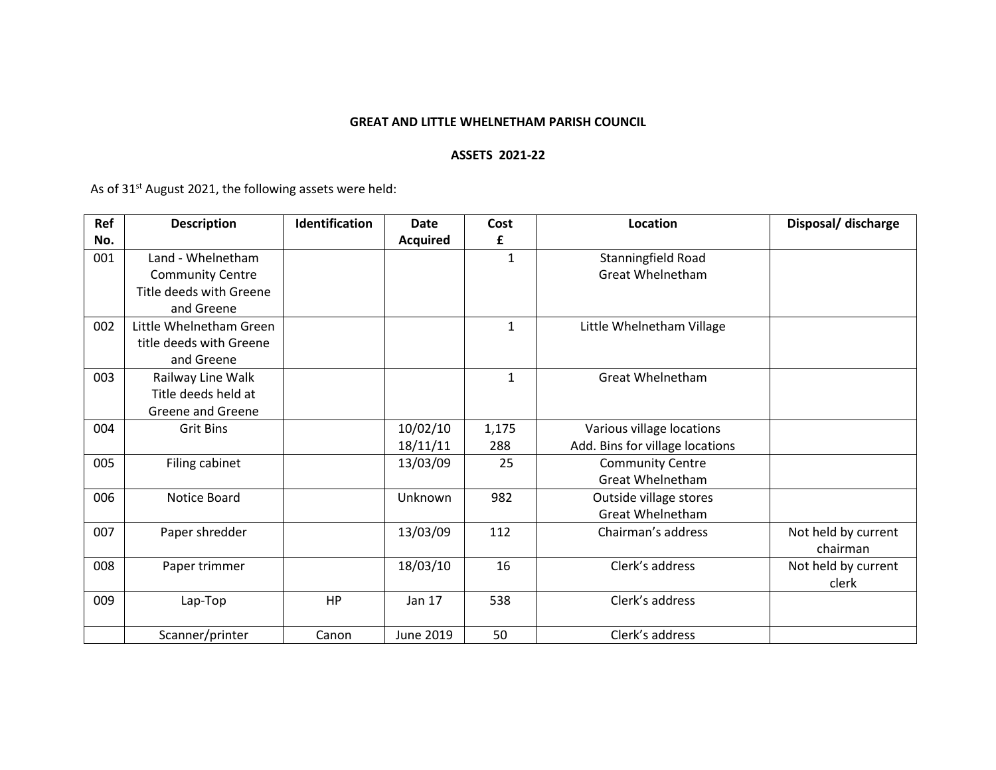## **GREAT AND LITTLE WHELNETHAM PARISH COUNCIL**

## **ASSETS 2021-22**

As of 31<sup>st</sup> August 2021, the following assets were held:

| Ref | <b>Description</b>       | Identification | <b>Date</b>     | Cost         | Location                        | Disposal/ discharge |
|-----|--------------------------|----------------|-----------------|--------------|---------------------------------|---------------------|
| No. |                          |                | <b>Acquired</b> | £            |                                 |                     |
| 001 | Land - Whelnetham        |                |                 | $\mathbf{1}$ | Stanningfield Road              |                     |
|     | <b>Community Centre</b>  |                |                 |              | <b>Great Whelnetham</b>         |                     |
|     | Title deeds with Greene  |                |                 |              |                                 |                     |
|     | and Greene               |                |                 |              |                                 |                     |
| 002 | Little Whelnetham Green  |                |                 | 1            | Little Whelnetham Village       |                     |
|     | title deeds with Greene  |                |                 |              |                                 |                     |
|     | and Greene               |                |                 |              |                                 |                     |
| 003 | Railway Line Walk        |                |                 | 1            | <b>Great Whelnetham</b>         |                     |
|     | Title deeds held at      |                |                 |              |                                 |                     |
|     | <b>Greene and Greene</b> |                |                 |              |                                 |                     |
| 004 | <b>Grit Bins</b>         |                | 10/02/10        | 1,175        | Various village locations       |                     |
|     |                          |                | 18/11/11        | 288          | Add. Bins for village locations |                     |
| 005 | Filing cabinet           |                | 13/03/09        | 25           | <b>Community Centre</b>         |                     |
|     |                          |                |                 |              | <b>Great Whelnetham</b>         |                     |
| 006 | Notice Board             |                | Unknown         | 982          | Outside village stores          |                     |
|     |                          |                |                 |              | <b>Great Whelnetham</b>         |                     |
| 007 | Paper shredder           |                | 13/03/09        | 112          | Chairman's address              | Not held by current |
|     |                          |                |                 |              |                                 | chairman            |
| 008 | Paper trimmer            |                | 18/03/10        | 16           | Clerk's address                 | Not held by current |
|     |                          |                |                 |              |                                 | clerk               |
| 009 | Lap-Top                  | HP             | Jan 17          | 538          | Clerk's address                 |                     |
|     |                          |                |                 |              |                                 |                     |
|     | Scanner/printer          | Canon          | June 2019       | 50           | Clerk's address                 |                     |